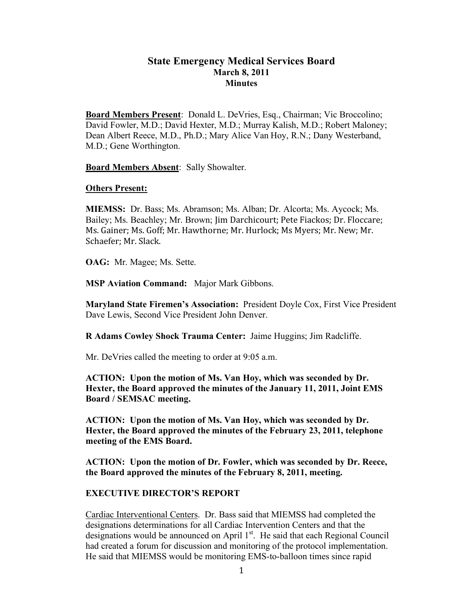## **State Emergency Medical Services Board March 8, 2011 Minutes**

**Board Members Present**: Donald L. DeVries, Esq., Chairman; Vic Broccolino; David Fowler, M.D.; David Hexter, M.D.; Murray Kalish, M.D.; Robert Maloney; Dean Albert Reece, M.D., Ph.D.; Mary Alice Van Hoy, R.N.; Dany Westerband, M.D.; Gene Worthington.

**Board Members Absent**: Sally Showalter.

#### **Others Present:**

**MIEMSS:** Dr. Bass; Ms. Abramson; Ms. Alban; Dr. Alcorta; Ms. Aycock; Ms. Bailey; Ms. Beachley; Mr. Brown; Jim
Darchicourt;
Pete
Fiackos; Dr.
Floccare; Ms. Gainer; Ms. Goff; Mr. Hawthorne; Mr. Hurlock; Ms Myers; Mr. New; Mr. Schaefer;
Mr.
Slack.

**OAG:** Mr. Magee; Ms. Sette.

**MSP Aviation Command:** Major Mark Gibbons.

**Maryland State Firemen's Association:** President Doyle Cox, First Vice President Dave Lewis, Second Vice President John Denver.

**R Adams Cowley Shock Trauma Center:** Jaime Huggins; Jim Radcliffe.

Mr. DeVries called the meeting to order at 9:05 a.m.

**ACTION: Upon the motion of Ms. Van Hoy, which was seconded by Dr. Hexter, the Board approved the minutes of the January 11, 2011, Joint EMS Board / SEMSAC meeting.**

**ACTION: Upon the motion of Ms. Van Hoy, which was seconded by Dr. Hexter, the Board approved the minutes of the February 23, 2011, telephone meeting of the EMS Board.**

**ACTION: Upon the motion of Dr. Fowler, which was seconded by Dr. Reece, the Board approved the minutes of the February 8, 2011, meeting.**

#### **EXECUTIVE DIRECTOR'S REPORT**

Cardiac Interventional Centers. Dr. Bass said that MIEMSS had completed the designations determinations for all Cardiac Intervention Centers and that the designations would be announced on April  $1<sup>st</sup>$ . He said that each Regional Council had created a forum for discussion and monitoring of the protocol implementation. He said that MIEMSS would be monitoring EMS-to-balloon times since rapid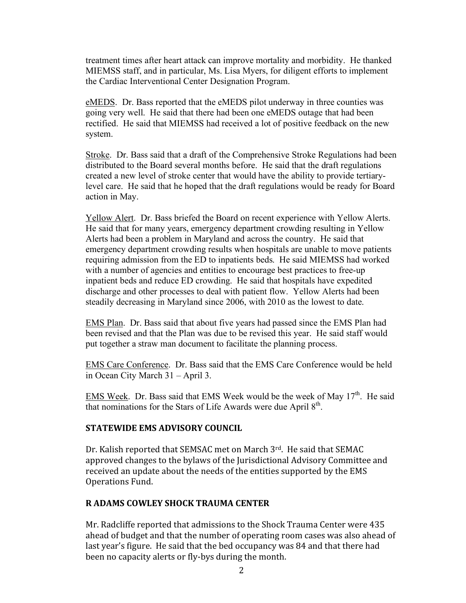treatment times after heart attack can improve mortality and morbidity. He thanked MIEMSS staff, and in particular, Ms. Lisa Myers, for diligent efforts to implement the Cardiac Interventional Center Designation Program.

eMEDS. Dr. Bass reported that the eMEDS pilot underway in three counties was going very well. He said that there had been one eMEDS outage that had been rectified. He said that MIEMSS had received a lot of positive feedback on the new system.

Stroke. Dr. Bass said that a draft of the Comprehensive Stroke Regulations had been distributed to the Board several months before. He said that the draft regulations created a new level of stroke center that would have the ability to provide tertiarylevel care. He said that he hoped that the draft regulations would be ready for Board action in May.

Yellow Alert. Dr. Bass briefed the Board on recent experience with Yellow Alerts. He said that for many years, emergency department crowding resulting in Yellow Alerts had been a problem in Maryland and across the country. He said that emergency department crowding results when hospitals are unable to move patients requiring admission from the ED to inpatients beds. He said MIEMSS had worked with a number of agencies and entities to encourage best practices to free-up inpatient beds and reduce ED crowding. He said that hospitals have expedited discharge and other processes to deal with patient flow. Yellow Alerts had been steadily decreasing in Maryland since 2006, with 2010 as the lowest to date.

EMS Plan. Dr. Bass said that about five years had passed since the EMS Plan had been revised and that the Plan was due to be revised this year. He said staff would put together a straw man document to facilitate the planning process.

EMS Care Conference. Dr. Bass said that the EMS Care Conference would be held in Ocean City March 31 – April 3.

EMS Week. Dr. Bass said that EMS Week would be the week of May  $17<sup>th</sup>$ . He said that nominations for the Stars of Life Awards were due April  $8<sup>th</sup>$ .

## **STATEWIDE
EMS
ADVISORY
COUNCIL**

Dr. Kalish reported that SEMSAC met on March 3rd. He said that SEMAC approved
changes
to
the
bylaws
of
the
Jurisdictional
Advisory
Committee
and received
an
update
about
the
needs
of
the
entities
supported
by
the
EMS Operations
Fund.

## **R
ADAMS
COWLEY
SHOCK
TRAUMA
CENTER**

Mr.
Radcliffe
reported
that
admissions
to
the
Shock
Trauma
Center
were
435 ahead
of
budget
and
that
the
number
of operating
room
cases
was also
ahead
of last
year's
figure.

He
said
that
the
bed
occupancy
was
84
and
that
there
had been
no
capacity alerts
or
fly‐bys
during
the
month.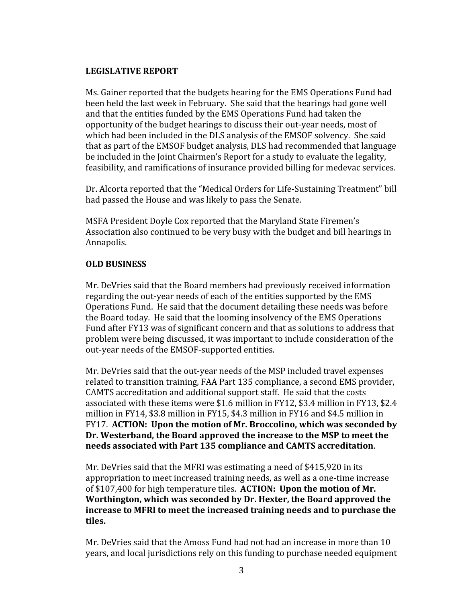## **LEGISLATIVE
REPORT**

Ms.
Gainer
reported that the
budgets
hearing
for
the
EMS
Operations
Fund had been
held
the
last
week
in
February.

She
said
that
the
hearings
had
gone
well and
that
the
entities
funded
by
the
EMS
Operations
Fund
had
taken
the opportunity of
the
budget
hearings
to discuss
their
out‐year
needs, most
of which had been included in the DLS analysis of the EMSOF solvency. She said that as
part
of
the
EMSOF
budget
analysis, DLS had
recommended
that
language be included in the Joint Chairmen's Report for a study to evaluate the legality, feasibility,
and
ramifications
of
insurance
provided
billing
for
medevac
services.

Dr. Alcorta reported that the "Medical Orders for Life-Sustaining Treatment" bill had
passed
the
House and
was
likely
to
pass
the
Senate.

MSFA
President
Doyle
Cox
reported
that
the
Maryland
State
Firemen's Association also continued to be very busy with the budget and bill hearings in Annapolis.

# **OLD
BUSINESS**

Mr.
DeVries
said
that
the
Board
members
had
previously
received
information regarding
the
out‐year
needs
of
each
of
the
entities
supported
by
the
EMS Operations Fund. He said that the document detailing these needs was before the Board today. He said that the looming insolvency of the EMS Operations Fund after FY13 was of significant concern and that as solutions to address that problem
were
being
discussed,
it
was
important
to
include
consideration of the out‐year
needs
of
the
EMSOF‐supported
entities.

Mr. DeVries said that the out-year needs of the MSP included travel expenses related
to
transition
training,
FAA
Part
135
compliance,
a
second
EMS
provider, CAMTS
accreditation
and
additional
support
staff.

He said
that
the
costs associated
with
these
items
were
\$1.6
million
in
FY12,
\$3.4 million
in FY13,
\$2.4 million in FY14, \$3.8 million in FY15, \$4.3 million in FY16 and \$4.5 million in FY17. ACTION: Upon the motion of Mr. Broccolino, which was seconded by **Dr.
Westerband,
the Board
approved
the
increase
to
the
MSP
to
meet
the needs
associated
with
Part
135
compliance and
CAMTS
accreditation**.

Mr. DeVries said that the MFRI was estimating a need of \$415,920 in its appropriation
to meet
increased
training
needs,
as
well
as
a
one‐time
increase of
\$107,400
for high
temperature
tiles. **ACTION:

Upon
the
motion
of Mr. Worthington,
which
was
seconded
by Dr.
Hexter,
the
Board
approved
the increase
to
MFRI
to
meet
the
increased
training
needs
and
to
purchase the tiles.**

Mr.
DeVries
said
that
the
Amoss
Fund
had
not
had
an
increase
in
more
than
10 years, and
local
jurisdictions
rely
on
this
funding
to
purchase
needed
equipment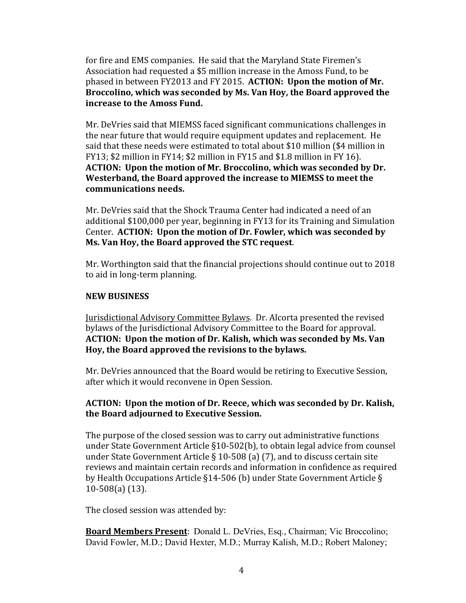for
fire
and
EMS
companies.

He
said
that
the
Maryland
State
Firemen's Association
had
requested
a \$5
million
increase
in
the
Amoss
Fund,
to
be phased
in
between
FY2013
and
FY 2015. **ACTION:

Upon
the
motion
of Mr. Broccolino,
which
was
seconded
by
Ms.
Van
Hoy,
the
Board
approved
the increase
to
the
Amoss
Fund.**

Mr.
DeVries
said
that
MIEMSS
faced
significant
communications
challenges
in the
near
future
that
would require
equipment updates
and
replacement.

He said
that
these
needs
were estimated
to
total
about
\$10 million
(\$4 million
in FY13;
\$2 million
in FY14;
\$2
million
in
FY15
and
\$1.8
million
in
FY 16). **ACTION:

Upon
the
motion
of Mr.
Broccolino,
which
was
seconded
by
Dr. Westerband,
the
Board approved
the
increase
to
MIEMSS
to
meet
the communications
needs.**

Mr.
DeVries
said
that
the
Shock
Trauma
Center
had
indicated
a
need
of
an additional
\$100,000 per
year,
beginning
in
FY13
for
its
Training
and Simulation Center. **ACTION:

Upon
the
motion
of Dr.
Fowler,
which
was
seconded
by Ms.
Van
Hoy,
the Board
approved
the
STC
request**.

Mr. Worthington said that the financial projections should continue out to 2018 to
aid
in
long‐term
planning.

## **NEW
BUSINESS**

Jurisdictional
Advisory
Committee
Bylaws.

Dr.
Alcorta
presented
the
revised bylaws
of
the
Jurisdictional
Advisory
Committee
to
the
Board
for
approval. **ACTION:

Upon
the
motion
of Dr.
Kalish,
which
was
seconded
by
Ms. Van Hoy,
the
Board
approved
the
revisions
to
the
bylaws.**

Mr.
DeVries
announced
that
the
Board
would
be
retiring
to
Executive
Session, after
which
it
would
reconvene
in
Open
Session.

# **ACTION:

Upon
the
motion
of Dr.
Reece,
which
was
seconded
by Dr.
Kalish, the
Board
adjourned
to
Executive Session.**

The
purpose
of
the
closed
session
was
to
carry
out
administrative
functions under State Government Article §10-502(b), to obtain legal advice from counsel under State Government Article § 10-508 (a) (7), and to discuss certain site reviews
and
maintain
certain
records
and
information
in
confidence
as
required by Health Occupations Article §14-506 (b) under State Government Article § 10‐508(a)
(13).

The
closed
session
was attended
by:

**Board Members Present:** Donald L. DeVries, Esq., Chairman; Vic Broccolino; David Fowler, M.D.; David Hexter, M.D.; Murray Kalish, M.D.; Robert Maloney;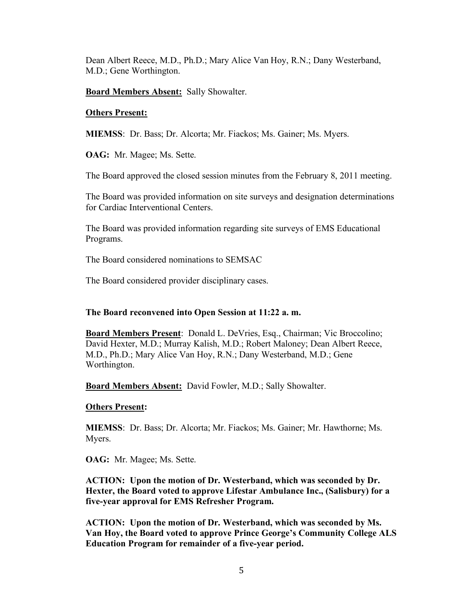Dean Albert Reece, M.D., Ph.D.; Mary Alice Van Hoy, R.N.; Dany Westerband, M.D.; Gene Worthington.

**Board Members Absent:** Sally Showalter.

### **Others Present:**

**MIEMSS**: Dr. Bass; Dr. Alcorta; Mr. Fiackos; Ms. Gainer; Ms. Myers.

**OAG:** Mr. Magee; Ms. Sette.

The Board approved the closed session minutes from the February 8, 2011 meeting.

The Board was provided information on site surveys and designation determinations for Cardiac Interventional Centers.

The Board was provided information regarding site surveys of EMS Educational Programs.

The Board considered nominations to SEMSAC

The Board considered provider disciplinary cases.

## **The Board reconvened into Open Session at 11:22 a. m.**

**Board Members Present**: Donald L. DeVries, Esq., Chairman; Vic Broccolino; David Hexter, M.D.; Murray Kalish, M.D.; Robert Maloney; Dean Albert Reece, M.D., Ph.D.; Mary Alice Van Hoy, R.N.; Dany Westerband, M.D.; Gene Worthington.

**Board Members Absent:** David Fowler, M.D.; Sally Showalter.

## **Others Present:**

**MIEMSS**: Dr. Bass; Dr. Alcorta; Mr. Fiackos; Ms. Gainer; Mr. Hawthorne; Ms. Myers.

**OAG:** Mr. Magee; Ms. Sette.

**ACTION: Upon the motion of Dr. Westerband, which was seconded by Dr. Hexter, the Board voted to approve Lifestar Ambulance Inc., (Salisbury) for a five-year approval for EMS Refresher Program.**

**ACTION: Upon the motion of Dr. Westerband, which was seconded by Ms. Van Hoy, the Board voted to approve Prince George's Community College ALS Education Program for remainder of a five-year period.**